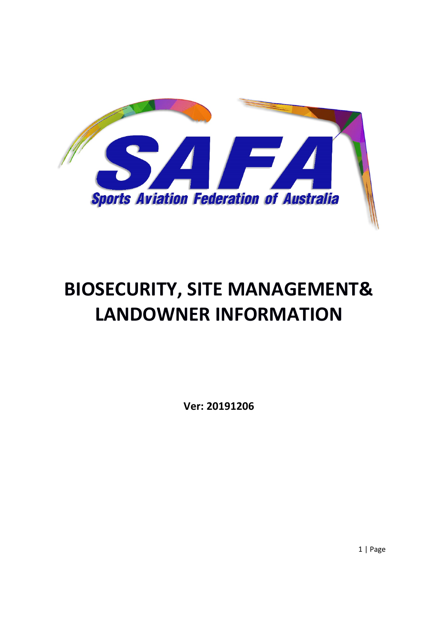

# **BIOSECURITY, SITE MANAGEMENT& LANDOWNER INFORMATION**

**Ver: 20191206**

1 | Page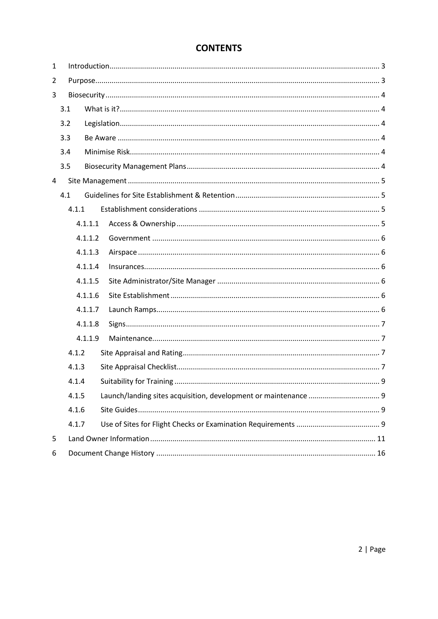## **CONTENTS**

| $\mathbf{1}$ |       |         |  |  |  |  |
|--------------|-------|---------|--|--|--|--|
| 2            |       |         |  |  |  |  |
| 3            |       |         |  |  |  |  |
|              | 3.1   |         |  |  |  |  |
|              | 3.2   |         |  |  |  |  |
| 3.3          |       |         |  |  |  |  |
|              | 3.4   |         |  |  |  |  |
|              | 3.5   |         |  |  |  |  |
| 4            |       |         |  |  |  |  |
| 4.1          |       |         |  |  |  |  |
|              | 4.1.1 |         |  |  |  |  |
|              |       | 4.1.1.1 |  |  |  |  |
|              |       | 4.1.1.2 |  |  |  |  |
|              |       | 4.1.1.3 |  |  |  |  |
|              |       | 4.1.1.4 |  |  |  |  |
|              |       | 4.1.1.5 |  |  |  |  |
|              |       | 4.1.1.6 |  |  |  |  |
|              |       | 4.1.1.7 |  |  |  |  |
|              |       | 4.1.1.8 |  |  |  |  |
|              |       | 4.1.1.9 |  |  |  |  |
|              | 4.1.2 |         |  |  |  |  |
|              | 4.1.3 |         |  |  |  |  |
|              | 4.1.4 |         |  |  |  |  |
|              | 4.1.5 |         |  |  |  |  |
|              | 4.1.6 |         |  |  |  |  |
|              | 4.1.7 |         |  |  |  |  |
| 5            |       |         |  |  |  |  |
| 6            |       |         |  |  |  |  |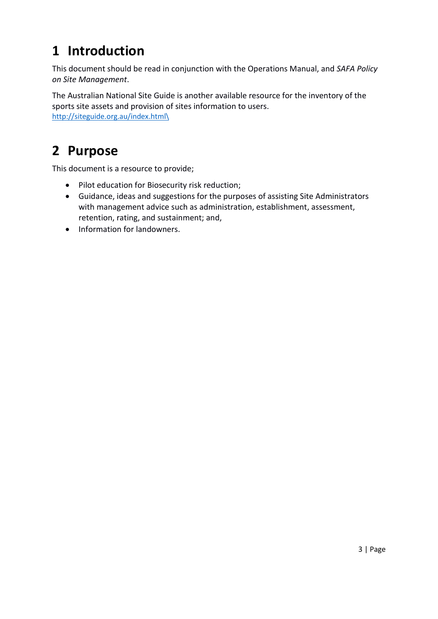## <span id="page-2-0"></span>**1 Introduction**

This document should be read in conjunction with the Operations Manual, and *SAFA Policy on Site Management*.

<span id="page-2-1"></span>The Australian National Site Guide is another available resource for the inventory of the sports site assets and provision of sites information to users. [http://siteguide.org.au/index.html\](http://siteguide.org.au/index.html/)

## **2 Purpose**

This document is a resource to provide;

- Pilot education for Biosecurity risk reduction;
- Guidance, ideas and suggestions for the purposes of assisting Site Administrators with management advice such as administration, establishment, assessment, retention, rating, and sustainment; and,
- Information for landowners.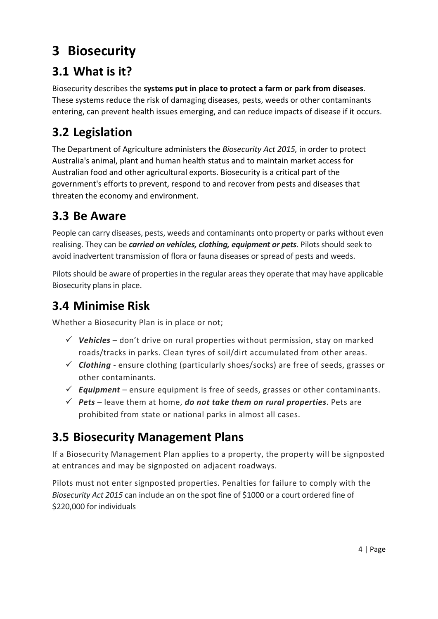## <span id="page-3-0"></span>**3 Biosecurity**

## <span id="page-3-1"></span>**3.1 What is it?**

Biosecurity describes the **systems put in place to protect a farm or park from diseases**. These systems reduce the risk of damaging diseases, pests, weeds or other contaminants entering, can prevent health issues emerging, and can reduce impacts of disease if it occurs.

## <span id="page-3-2"></span>**3.2 Legislation**

The Department of Agriculture administers the *Biosecurity Act 2015,* in order to protect Australia's animal, plant and human health status and to maintain market access for Australian food and other agricultural exports. Biosecurity is a critical part of the government's efforts to prevent, respond to and recover from pests and diseases that threaten the economy and environment.

## <span id="page-3-3"></span>**3.3 Be Aware**

People can carry diseases, pests, weeds and contaminants onto property or parks without even realising. They can be *carried on vehicles, clothing, equipment or pets*. Pilots should seek to avoid inadvertent transmission of flora or fauna diseases or spread of pests and weeds.

Pilots should be aware of properties in the regular areas they operate that may have applicable Biosecurity plans in place.

## <span id="page-3-4"></span>**3.4 Minimise Risk**

Whether a Biosecurity Plan is in place or not;

- $\checkmark$  Vehicles don't drive on rural properties without permission, stay on marked roads/tracks in parks. Clean tyres of soil/dirt accumulated from other areas.
- *Clothing* ensure clothing (particularly shoes/socks) are free of seeds, grasses or other contaminants.
- *Equipment*  ensure equipment is free of seeds, grasses or other contaminants.
- *Pets* leave them at home, *do not take them on rural properties*. Pets are prohibited from state or national parks in almost all cases.

## <span id="page-3-5"></span>**3.5 Biosecurity Management Plans**

If a Biosecurity Management Plan applies to a property, the property will be signposted at entrances and may be signposted on adjacent roadways.

Pilots must not enter signposted properties. Penalties for failure to comply with the *Biosecurity Act 2015* can include an on the spot fine of \$1000 or a court ordered fine of \$220,000 for individuals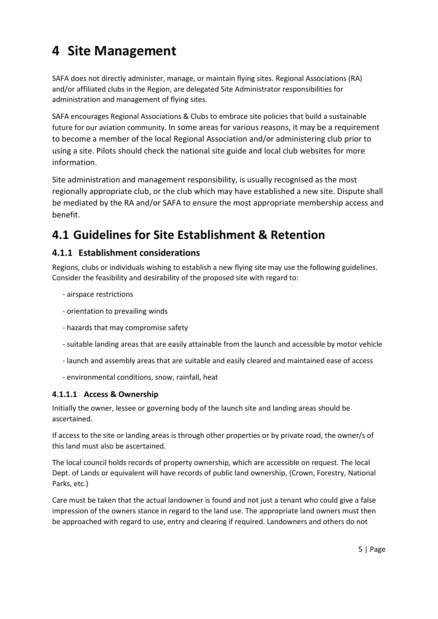## <span id="page-4-0"></span>**4 Site Management**

SAFA does not directly administer, manage, or maintain flying sites. Regional Associations (RA) and/or affiliated clubs in the Region, are delegated Site Administrator responsibilities for administration and management of flying sites.

SAFA encourages Regional Associations & Clubs to embrace site policies that build a sustainable future for our aviation community. In some areas for various reasons, it may be a requirement to become a member of the local Regional Association and/or administering club prior to using a site. Pilots should check the national site guide and local club websites for more information.

Site administration and management responsibility, is usually recognised as the most regionally appropriate club, or the club which may have established a new site. Dispute shall be mediated by the RA and/or SAFA to ensure the most appropriate membership access and benefit.

## <span id="page-4-1"></span>**4.1 Guidelines for Site Establishment & Retention**

## <span id="page-4-2"></span>**4.1.1 Establishment considerations**

Regions, clubs or individuals wishing to establish a new flying site may use the following guidelines. Consider the feasibility and desirability of the proposed site with regard to:

- airspace restrictions
- orientation to prevailing winds
- hazards that may compromise safety
- suitable landing areas that are easily attainable from the launch and accessible by motor vehicle
- launch and assembly areas that are suitable and easily cleared and maintained ease of access
- environmental conditions, snow, rainfall, heat

### <span id="page-4-3"></span>**4.1.1.1 Access & Ownership**

Initially the owner, lessee or governing body of the launch site and landing areas should be ascertained.

If access to the site or landing areas is through other properties or by private road, the owner/s of this land must also be ascertained.

The local council holds records of property ownership, which are accessible on request. The local Dept. of Lands or equivalent will have records of public land ownership, (Crown, Forestry, National Parks, etc.)

Care must be taken that the actual landowner is found and not just a tenant who could give a false impression of the owners stance in regard to the land use. The appropriate land owners must then be approached with regard to use, entry and clearing if required. Landowners and others do not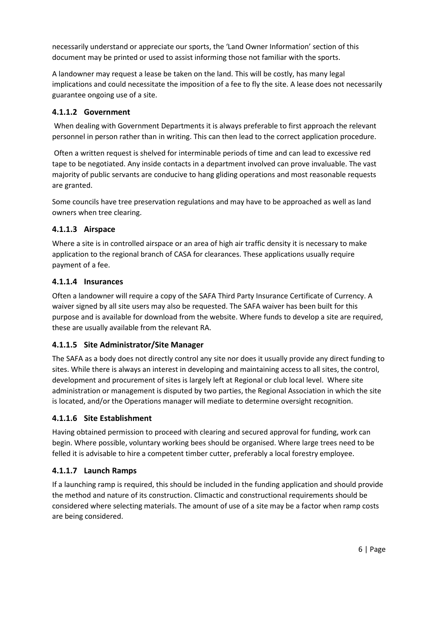necessarily understand or appreciate our sports, the 'Land Owner Information' section of this document may be printed or used to assist informing those not familiar with the sports.

A landowner may request a lease be taken on the land. This will be costly, has many legal implications and could necessitate the imposition of a fee to fly the site. A lease does not necessarily guarantee ongoing use of a site.

### <span id="page-5-0"></span>**4.1.1.2 Government**

When dealing with Government Departments it is always preferable to first approach the relevant personnel in person rather than in writing. This can then lead to the correct application procedure.

Often a written request is shelved for interminable periods of time and can lead to excessive red tape to be negotiated. Any inside contacts in a department involved can prove invaluable. The vast majority of public servants are conducive to hang gliding operations and most reasonable requests are granted.

Some councils have tree preservation regulations and may have to be approached as well as land owners when tree clearing.

#### <span id="page-5-1"></span>**4.1.1.3 Airspace**

Where a site is in controlled airspace or an area of high air traffic density it is necessary to make application to the regional branch of CASA for clearances. These applications usually require payment of a fee.

#### <span id="page-5-2"></span>**4.1.1.4 Insurances**

Often a landowner will require a copy of the SAFA Third Party Insurance Certificate of Currency. A waiver signed by all site users may also be requested. The SAFA waiver has been built for this purpose and is available for download from the website. Where funds to develop a site are required, these are usually available from the relevant RA.

### <span id="page-5-3"></span>**4.1.1.5 Site Administrator/Site Manager**

The SAFA as a body does not directly control any site nor does it usually provide any direct funding to sites. While there is always an interest in developing and maintaining access to all sites, the control, development and procurement of sites is largely left at Regional or club local level. Where site administration or management is disputed by two parties, the Regional Association in which the site is located, and/or the Operations manager will mediate to determine oversight recognition.

#### <span id="page-5-4"></span>**4.1.1.6 Site Establishment**

Having obtained permission to proceed with clearing and secured approval for funding, work can begin. Where possible, voluntary working bees should be organised. Where large trees need to be felled it is advisable to hire a competent timber cutter, preferably a local forestry employee.

#### <span id="page-5-5"></span>**4.1.1.7 Launch Ramps**

If a launching ramp is required, this should be included in the funding application and should provide the method and nature of its construction. Climactic and constructional requirements should be considered where selecting materials. The amount of use of a site may be a factor when ramp costs are being considered.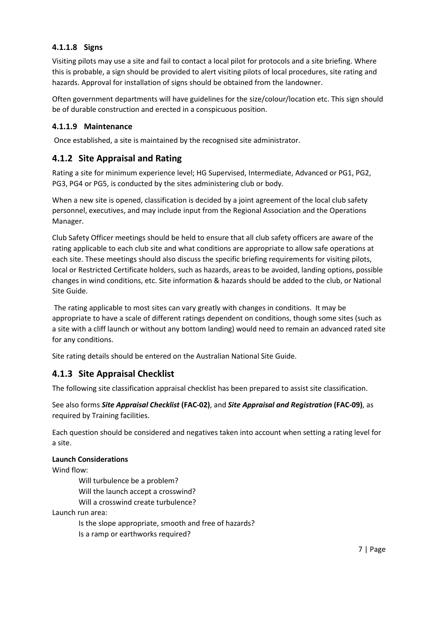### <span id="page-6-0"></span>**4.1.1.8 Signs**

Visiting pilots may use a site and fail to contact a local pilot for protocols and a site briefing. Where this is probable, a sign should be provided to alert visiting pilots of local procedures, site rating and hazards. Approval for installation of signs should be obtained from the landowner.

Often government departments will have guidelines for the size/colour/location etc. This sign should be of durable construction and erected in a conspicuous position.

### <span id="page-6-1"></span>**4.1.1.9 Maintenance**

Once established, a site is maintained by the recognised site administrator.

### <span id="page-6-2"></span>**4.1.2 Site Appraisal and Rating**

Rating a site for minimum experience level; HG Supervised, Intermediate, Advanced or PG1, PG2, PG3, PG4 or PG5, is conducted by the sites administering club or body.

When a new site is opened, classification is decided by a joint agreement of the local club safety personnel, executives, and may include input from the Regional Association and the Operations Manager.

Club Safety Officer meetings should be held to ensure that all club safety officers are aware of the rating applicable to each club site and what conditions are appropriate to allow safe operations at each site. These meetings should also discuss the specific briefing requirements for visiting pilots, local or Restricted Certificate holders, such as hazards, areas to be avoided, landing options, possible changes in wind conditions, etc. Site information & hazards should be added to the club, or National Site Guide.

The rating applicable to most sites can vary greatly with changes in conditions. It may be appropriate to have a scale of different ratings dependent on conditions, though some sites (such as a site with a cliff launch or without any bottom landing) would need to remain an advanced rated site for any conditions.

Site rating details should be entered on the Australian National Site Guide.

### <span id="page-6-3"></span>**4.1.3 Site Appraisal Checklist**

The following site classification appraisal checklist has been prepared to assist site classification.

See also forms *Site Appraisal Checklist* **(FAC-02)**, and *Site Appraisal and Registration* **(FAC-09)**, as required by Training facilities.

Each question should be considered and negatives taken into account when setting a rating level for a site.

#### **Launch Considerations**

Wind flow:

Will turbulence be a problem?

Will the launch accept a crosswind?

Will a crosswind create turbulence?

Launch run area:

Is the slope appropriate, smooth and free of hazards?

Is a ramp or earthworks required?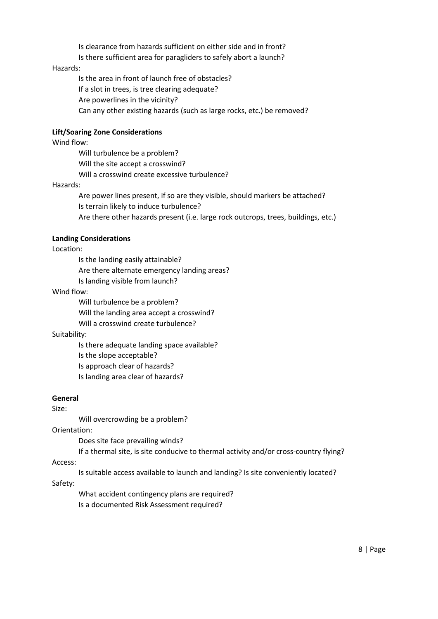Is clearance from hazards sufficient on either side and in front?

Is there sufficient area for paragliders to safely abort a launch?

#### Hazards:

Is the area in front of launch free of obstacles? If a slot in trees, is tree clearing adequate? Are powerlines in the vicinity? Can any other existing hazards (such as large rocks, etc.) be removed?

#### **Lift/Soaring Zone Considerations**

Wind flow:

Will turbulence be a problem? Will the site accept a crosswind? Will a crosswind create excessive turbulence?

#### Hazards:

Are power lines present, if so are they visible, should markers be attached? Is terrain likely to induce turbulence?

Are there other hazards present (i.e. large rock outcrops, trees, buildings, etc.)

#### **Landing Considerations**

#### Location:

Is the landing easily attainable? Are there alternate emergency landing areas?

Is landing visible from launch?

#### Wind flow:

Will turbulence be a problem?

Will the landing area accept a crosswind?

Will a crosswind create turbulence?

#### Suitability:

Is there adequate landing space available?

Is the slope acceptable?

Is approach clear of hazards?

Is landing area clear of hazards?

#### **General**

Size:

Will overcrowding be a problem?

#### Orientation:

Does site face prevailing winds?

If a thermal site, is site conducive to thermal activity and/or cross-country flying?

#### Access:

Is suitable access available to launch and landing? Is site conveniently located?

#### Safety:

What accident contingency plans are required?

Is a documented Risk Assessment required?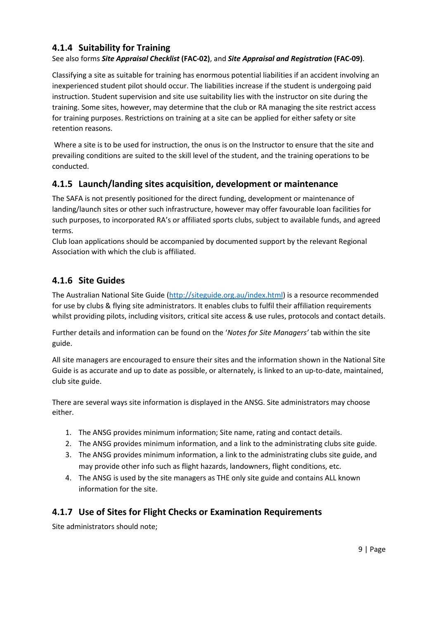### <span id="page-8-0"></span>**4.1.4 Suitability for Training**

### See also forms *Site Appraisal Checklist* **(FAC-02)**, and *Site Appraisal and Registration* **(FAC-09)**.

Classifying a site as suitable for training has enormous potential liabilities if an accident involving an inexperienced student pilot should occur. The liabilities increase if the student is undergoing paid instruction. Student supervision and site use suitability lies with the instructor on site during the training. Some sites, however, may determine that the club or RA managing the site restrict access for training purposes. Restrictions on training at a site can be applied for either safety or site retention reasons.

Where a site is to be used for instruction, the onus is on the Instructor to ensure that the site and prevailing conditions are suited to the skill level of the student, and the training operations to be conducted.

### <span id="page-8-1"></span>**4.1.5 Launch/landing sites acquisition, development or maintenance**

The SAFA is not presently positioned for the direct funding, development or maintenance of landing/launch sites or other such infrastructure, however may offer favourable loan facilities for such purposes, to incorporated RA's or affiliated sports clubs, subject to available funds, and agreed terms.

Club loan applications should be accompanied by documented support by the relevant Regional Association with which the club is affiliated.

### <span id="page-8-2"></span>**4.1.6 Site Guides**

The Australian National Site Guide [\(http://siteguide.org.au/index.html\)](http://siteguide.org.au/index.html) is a resource recommended for use by clubs & flying site administrators. It enables clubs to fulfil their affiliation requirements whilst providing pilots, including visitors, critical site access & use rules, protocols and contact details.

Further details and information can be found on the '*Notes for Site Managers'* tab within the site guide.

All site managers are encouraged to ensure their sites and the information shown in the National Site Guide is as accurate and up to date as possible, or alternately, is linked to an up-to-date, maintained, club site guide.

There are several ways site information is displayed in the ANSG. Site administrators may choose either.

- 1. The ANSG provides minimum information; Site name, rating and contact details.
- 2. The ANSG provides minimum information, and a link to the administrating clubs site guide.
- 3. The ANSG provides minimum information, a link to the administrating clubs site guide, and may provide other info such as flight hazards, landowners, flight conditions, etc.
- 4. The ANSG is used by the site managers as THE only site guide and contains ALL known information for the site.

### <span id="page-8-3"></span>**4.1.7 Use of Sites for Flight Checks or Examination Requirements**

Site administrators should note;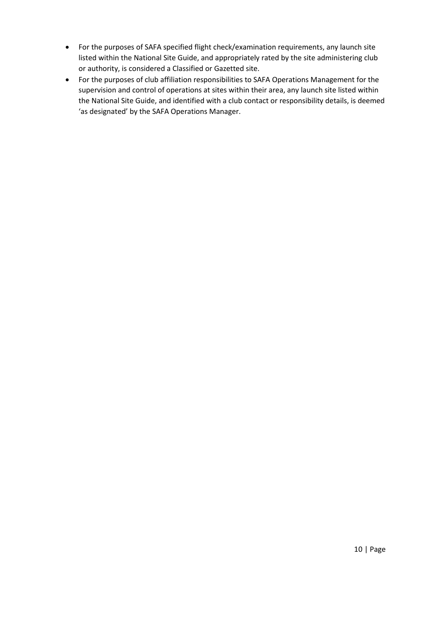- For the purposes of SAFA specified flight check/examination requirements, any launch site listed within the National Site Guide, and appropriately rated by the site administering club or authority, is considered a Classified or Gazetted site.
- For the purposes of club affiliation responsibilities to SAFA Operations Management for the supervision and control of operations at sites within their area, any launch site listed within the National Site Guide, and identified with a club contact or responsibility details, is deemed 'as designated' by the SAFA Operations Manager.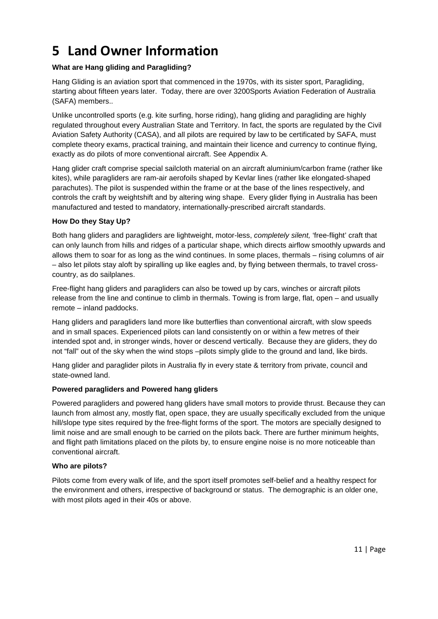## <span id="page-10-0"></span>**5 Land Owner Information**

#### **What are Hang gliding and Paragliding?**

Hang Gliding is an aviation sport that commenced in the 1970s, with its sister sport, Paragliding, starting about fifteen years later. Today, there are over 3200Sports Aviation Federation of Australia (SAFA) members..

Unlike uncontrolled sports (e.g. kite surfing, horse riding), hang gliding and paragliding are highly regulated throughout every Australian State and Territory. In fact, the sports are regulated by the Civil Aviation Safety Authority (CASA), and all pilots are required by law to be certificated by SAFA, must complete theory exams, practical training, and maintain their licence and currency to continue flying, exactly as do pilots of more conventional aircraft. See Appendix A.

Hang glider craft comprise special sailcloth material on an aircraft aluminium/carbon frame (rather like kites), while paragliders are ram-air aerofoils shaped by Kevlar lines (rather like elongated-shaped parachutes). The pilot is suspended within the frame or at the base of the lines respectively, and controls the craft by weightshift and by altering wing shape. Every glider flying in Australia has been manufactured and tested to mandatory, internationally-prescribed aircraft standards.

#### **How Do they Stay Up?**

Both hang gliders and paragliders are lightweight, motor-less, *completely silent,* 'free-flight' craft that can only launch from hills and ridges of a particular shape, which directs airflow smoothly upwards and allows them to soar for as long as the wind continues. In some places, thermals – rising columns of air – also let pilots stay aloft by spiralling up like eagles and, by flying between thermals, to travel crosscountry, as do sailplanes.

Free-flight hang gliders and paragliders can also be towed up by cars, winches or aircraft pilots release from the line and continue to climb in thermals. Towing is from large, flat, open – and usually remote – inland paddocks.

Hang gliders and paragliders land more like butterflies than conventional aircraft, with slow speeds and in small spaces. Experienced pilots can land consistently on or within a few metres of their intended spot and, in stronger winds, hover or descend vertically. Because they are gliders, they do not "fall" out of the sky when the wind stops –pilots simply glide to the ground and land, like birds.

Hang glider and paraglider pilots in Australia fly in every state & territory from private, council and state-owned land.

#### **Powered paragliders and Powered hang gliders**

Powered paragliders and powered hang gliders have small motors to provide thrust. Because they can launch from almost any, mostly flat, open space, they are usually specifically excluded from the unique hill/slope type sites required by the free-flight forms of the sport. The motors are specially designed to limit noise and are small enough to be carried on the pilots back. There are further minimum heights, and flight path limitations placed on the pilots by, to ensure engine noise is no more noticeable than conventional aircraft.

#### **Who are pilots?**

Pilots come from every walk of life, and the sport itself promotes self-belief and a healthy respect for the environment and others, irrespective of background or status. The demographic is an older one, with most pilots aged in their 40s or above.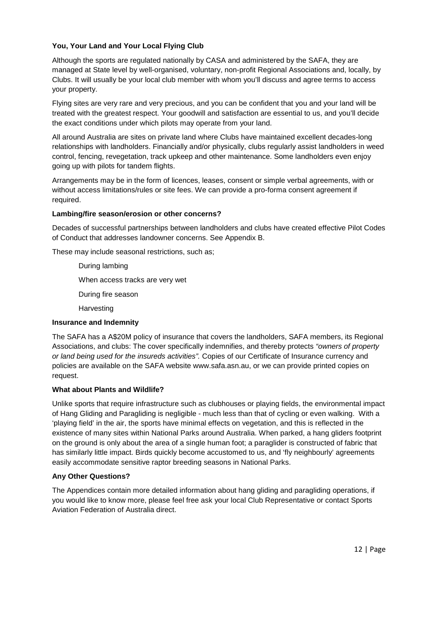#### **You, Your Land and Your Local Flying Club**

Although the sports are regulated nationally by CASA and administered by the SAFA, they are managed at State level by well-organised, voluntary, non-profit Regional Associations and, locally, by Clubs. It will usually be your local club member with whom you'll discuss and agree terms to access your property.

Flying sites are very rare and very precious, and you can be confident that you and your land will be treated with the greatest respect. Your goodwill and satisfaction are essential to us, and you'll decide the exact conditions under which pilots may operate from your land.

All around Australia are sites on private land where Clubs have maintained excellent decades-long relationships with landholders. Financially and/or physically, clubs regularly assist landholders in weed control, fencing, revegetation, track upkeep and other maintenance. Some landholders even enjoy going up with pilots for tandem flights.

Arrangements may be in the form of licences, leases, consent or simple verbal agreements, with or without access limitations/rules or site fees. We can provide a pro-forma consent agreement if required.

#### **Lambing/fire season/erosion or other concerns?**

Decades of successful partnerships between landholders and clubs have created effective Pilot Codes of Conduct that addresses landowner concerns. See Appendix B.

These may include seasonal restrictions, such as;

During lambing

When access tracks are very wet

During fire season

**Harvesting** 

#### **Insurance and Indemnity**

The SAFA has a A\$20M policy of insurance that covers the landholders, SAFA members, its Regional Associations, and clubs: The cover specifically indemnifies, and thereby protects *"owners of property or land being used for the insureds activities".* Copies of our Certificate of Insurance currency and policies are available on the SAFA website www.safa.asn.au, or we can provide printed copies on request.

#### **What about Plants and Wildlife?**

Unlike sports that require infrastructure such as clubhouses or playing fields, the environmental impact of Hang Gliding and Paragliding is negligible - much less than that of cycling or even walking. With a 'playing field' in the air, the sports have minimal effects on vegetation, and this is reflected in the existence of many sites within National Parks around Australia. When parked, a hang gliders footprint on the ground is only about the area of a single human foot; a paraglider is constructed of fabric that has similarly little impact. Birds quickly become accustomed to us, and 'fly neighbourly' agreements easily accommodate sensitive raptor breeding seasons in National Parks.

#### **Any Other Questions?**

The Appendices contain more detailed information about hang gliding and paragliding operations, if you would like to know more, please feel free ask your local Club Representative or contact Sports Aviation Federation of Australia direct.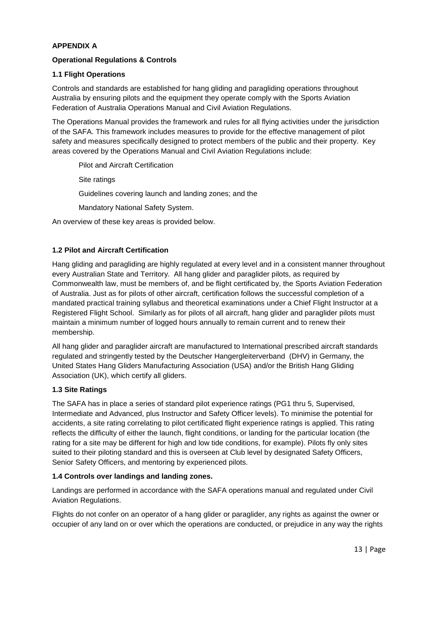#### **APPENDIX A**

#### **Operational Regulations & Controls**

#### **1.1 Flight Operations**

Controls and standards are established for hang gliding and paragliding operations throughout Australia by ensuring pilots and the equipment they operate comply with the Sports Aviation Federation of Australia Operations Manual and Civil Aviation Regulations.

The Operations Manual provides the framework and rules for all flying activities under the jurisdiction of the SAFA. This framework includes measures to provide for the effective management of pilot safety and measures specifically designed to protect members of the public and their property. Key areas covered by the Operations Manual and Civil Aviation Regulations include:

Pilot and Aircraft Certification

Site ratings

Guidelines covering launch and landing zones; and the

Mandatory National Safety System.

An overview of these key areas is provided below.

#### **1.2 Pilot and Aircraft Certification**

Hang gliding and paragliding are highly regulated at every level and in a consistent manner throughout every Australian State and Territory. All hang glider and paraglider pilots, as required by Commonwealth law, must be members of, and be flight certificated by, the Sports Aviation Federation of Australia. Just as for pilots of other aircraft, certification follows the successful completion of a mandated practical training syllabus and theoretical examinations under a Chief Flight Instructor at a Registered Flight School. Similarly as for pilots of all aircraft, hang glider and paraglider pilots must maintain a minimum number of logged hours annually to remain current and to renew their membership.

All hang glider and paraglider aircraft are manufactured to International prescribed aircraft standards regulated and stringently tested by the Deutscher Hangergleiterverband (DHV) in Germany, the United States Hang Gliders Manufacturing Association (USA) and/or the British Hang Gliding Association (UK), which certify all gliders.

#### **1.3 Site Ratings**

The SAFA has in place a series of standard pilot experience ratings (PG1 thru 5, Supervised, Intermediate and Advanced, plus Instructor and Safety Officer levels). To minimise the potential for accidents, a site rating correlating to pilot certificated flight experience ratings is applied. This rating reflects the difficulty of either the launch, flight conditions, or landing for the particular location (the rating for a site may be different for high and low tide conditions, for example). Pilots fly only sites suited to their piloting standard and this is overseen at Club level by designated Safety Officers, Senior Safety Officers, and mentoring by experienced pilots.

#### **1.4 Controls over landings and landing zones.**

Landings are performed in accordance with the SAFA operations manual and regulated under Civil Aviation Regulations.

Flights do not confer on an operator of a hang glider or paraglider, any rights as against the owner or occupier of any land on or over which the operations are conducted, or prejudice in any way the rights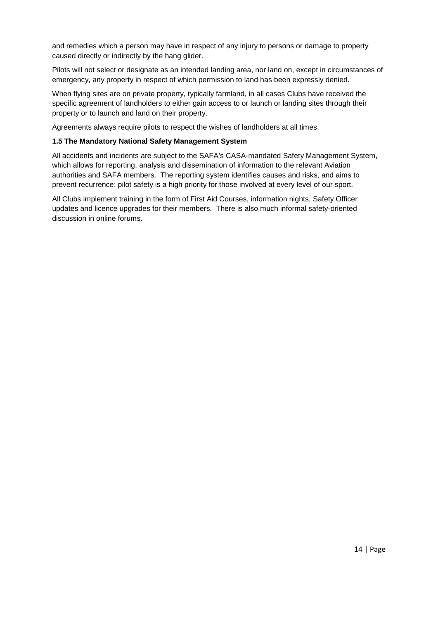and remedies which a person may have in respect of any injury to persons or damage to property caused directly or indirectly by the hang glider.

Pilots will not select or designate as an intended landing area, nor land on, except in circumstances of emergency, any property in respect of which permission to land has been expressly denied.

When flying sites are on private property, typically farmland, in all cases Clubs have received the specific agreement of landholders to either gain access to or launch or landing sites through their property or to launch and land on their property.

Agreements always require pilots to respect the wishes of landholders at all times.

#### **1.5 The Mandatory National Safety Management System**

All accidents and incidents are subject to the SAFA's CASA-mandated Safety Management System, which allows for reporting, analysis and dissemination of information to the relevant Aviation authorities and SAFA members. The reporting system identifies causes and risks, and aims to prevent recurrence: pilot safety is a high priority for those involved at every level of our sport.

All Clubs implement training in the form of First Aid Courses, information nights, Safety Officer updates and licence upgrades for their members. There is also much informal safety-oriented discussion in online forums.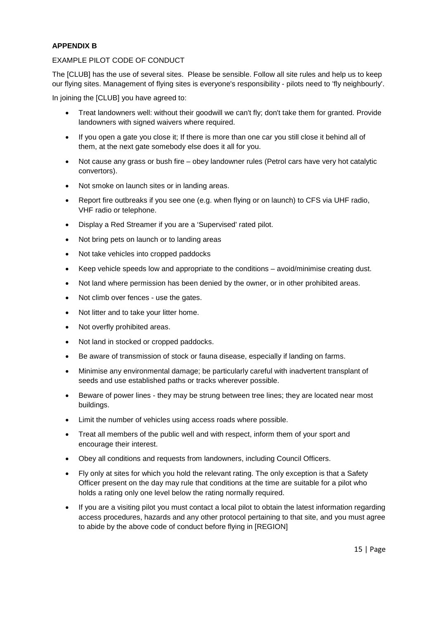#### **APPENDIX B**

#### EXAMPLE PILOT CODE OF CONDUCT

The [CLUB] has the use of several sites. Please be sensible. Follow all site rules and help us to keep our flying sites. Management of flying sites is everyone's responsibility - pilots need to 'fly neighbourly'.

In joining the [CLUB] you have agreed to:

- Treat landowners well: without their goodwill we can't fly; don't take them for granted. Provide landowners with signed waivers where required.
- If you open a gate you close it; If there is more than one car you still close it behind all of them, at the next gate somebody else does it all for you.
- Not cause any grass or bush fire obey landowner rules (Petrol cars have very hot catalytic convertors).
- Not smoke on launch sites or in landing areas.
- Report fire outbreaks if you see one (e.g. when flying or on launch) to CFS via UHF radio, VHF radio or telephone.
- Display a Red Streamer if you are a 'Supervised' rated pilot.
- Not bring pets on launch or to landing areas
- Not take vehicles into cropped paddocks
- Keep vehicle speeds low and appropriate to the conditions avoid/minimise creating dust.
- Not land where permission has been denied by the owner, or in other prohibited areas.
- Not climb over fences use the gates.
- Not litter and to take your litter home.
- Not overfly prohibited areas.
- Not land in stocked or cropped paddocks.
- Be aware of transmission of stock or fauna disease, especially if landing on farms.
- Minimise any environmental damage; be particularly careful with inadvertent transplant of seeds and use established paths or tracks wherever possible.
- Beware of power lines they may be strung between tree lines; they are located near most buildings.
- Limit the number of vehicles using access roads where possible.
- Treat all members of the public well and with respect, inform them of your sport and encourage their interest.
- Obey all conditions and requests from landowners, including Council Officers.
- Fly only at sites for which you hold the relevant rating. The only exception is that a Safety Officer present on the day may rule that conditions at the time are suitable for a pilot who holds a rating only one level below the rating normally required.
- If you are a visiting pilot you must contact a local pilot to obtain the latest information regarding access procedures, hazards and any other protocol pertaining to that site, and you must agree to abide by the above code of conduct before flying in [REGION]